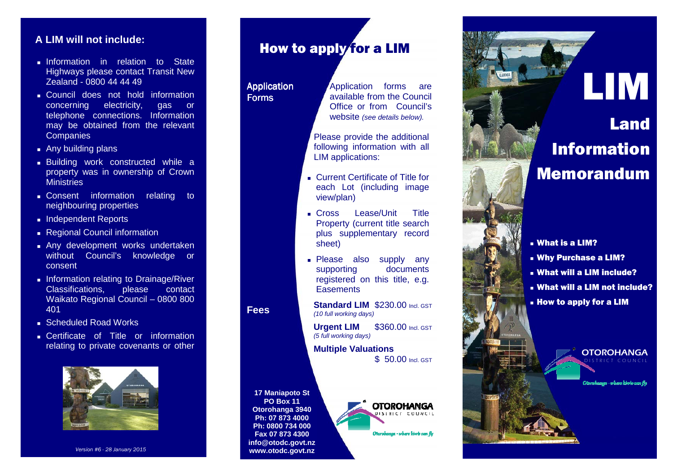## **A LIM will not include:**

- **Information** in relation to State Highways please contact Transit New Zealand - 0800 44 44 49
- **Council does not hold information** gas or concerning electricity, telephone connections. Information may be obtained from the relevant **Companies**
- **Any building plans**
- Building work constructed while a property was in ownership of Crown **Ministries**
- **Consent** information relating to neighbouring properties
- **Independent Reports**
- Regional Council information
- Any development works undertaken without Council's knowledge or consent
- **Information relating to Drainage/River** contact Classifications. please Waikato Regional Council – 0800 800 401
- **Scheduled Road Works**
- **Certificate of Title or information** relating to private covenants or other



*Version #6 - 28 January 2015* 

## How to apply for a LIM

#### Application<br>— Forms

Application forms are available from the Council Office or from Council's website (see details below).

Please provide the additional following information with all LIM applications:

- Current Certificate of Title for each Lot (including image view/plan)
- Cross Lease/Unit Title Property (current title search plus supplementary record sheet)
- **Please also supply any** documents supporting registered on this title, e.g. **Easements**

**Standard LIM** \$230.00 Incl. GST (10 full working days)

**Urgent LIM**\$360.00 Incl. GST (5 full working days)

**Multiple Valuations** \$ 50.00 Incl. GST



**Fees** 



Otarohanaa - where kiwis can fie

# Land Information Memorandum

LIM

- What is a LIM?
- Why Purchase a LIM?
- What will a LIM include?
- What will a LIM not include?
- How to apply for a LIM



a - where klovis can fly